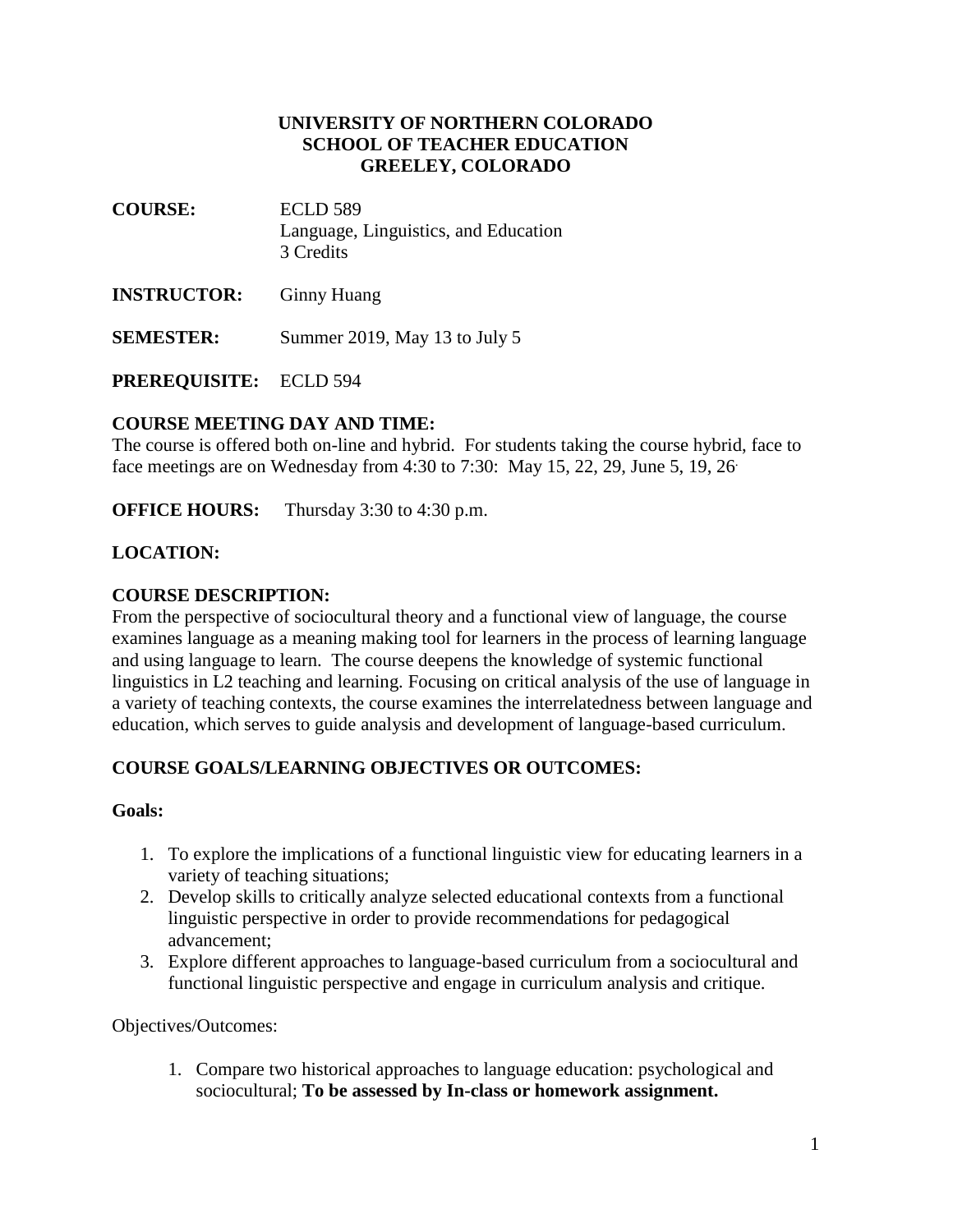## **UNIVERSITY OF NORTHERN COLORADO SCHOOL OF TEACHER EDUCATION GREELEY, COLORADO**

- **COURSE:** ECLD 589 Language, Linguistics, and Education 3 Credits
- **INSTRUCTOR:** Ginny Huang
- **SEMESTER:** Summer 2019, May 13 to July 5

**PREREQUISITE:** ECLD 594

## **COURSE MEETING DAY AND TIME:**

The course is offered both on-line and hybrid. For students taking the course hybrid, face to face meetings are on Wednesday from 4:30 to 7:30: May 15, 22, 29, June 5, 19, 26.

**OFFICE HOURS:** Thursday 3:30 to 4:30 p.m.

## **LOCATION:**

### **COURSE DESCRIPTION:**

From the perspective of sociocultural theory and a functional view of language, the course examines language as a meaning making tool for learners in the process of learning language and using language to learn. The course deepens the knowledge of systemic functional linguistics in L2 teaching and learning. Focusing on critical analysis of the use of language in a variety of teaching contexts, the course examines the interrelatedness between language and education, which serves to guide analysis and development of language-based curriculum.

## **COURSE GOALS/LEARNING OBJECTIVES OR OUTCOMES:**

### **Goals:**

- 1. To explore the implications of a functional linguistic view for educating learners in a variety of teaching situations;
- 2. Develop skills to critically analyze selected educational contexts from a functional linguistic perspective in order to provide recommendations for pedagogical advancement;
- 3. Explore different approaches to language-based curriculum from a sociocultural and functional linguistic perspective and engage in curriculum analysis and critique.

Objectives/Outcomes:

1. Compare two historical approaches to language education: psychological and sociocultural; **To be assessed by In-class or homework assignment.**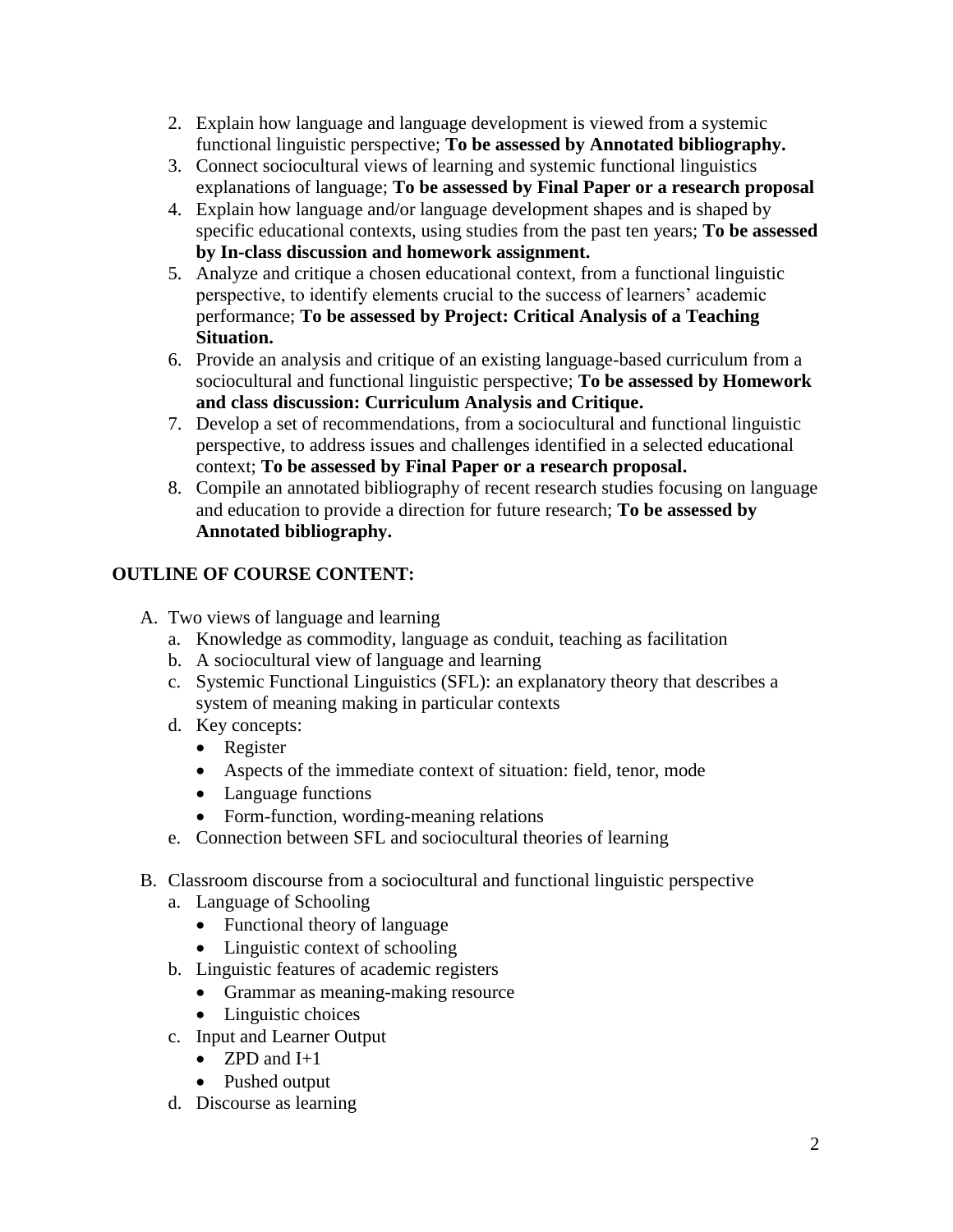- 2. Explain how language and language development is viewed from a systemic functional linguistic perspective; **To be assessed by Annotated bibliography.**
- 3. Connect sociocultural views of learning and systemic functional linguistics explanations of language; **To be assessed by Final Paper or a research proposal**
- 4. Explain how language and/or language development shapes and is shaped by specific educational contexts, using studies from the past ten years; **To be assessed by In-class discussion and homework assignment.**
- 5. Analyze and critique a chosen educational context, from a functional linguistic perspective, to identify elements crucial to the success of learners' academic performance; **To be assessed by Project: Critical Analysis of a Teaching Situation.**
- 6. Provide an analysis and critique of an existing language-based curriculum from a sociocultural and functional linguistic perspective; **To be assessed by Homework and class discussion: Curriculum Analysis and Critique.**
- 7. Develop a set of recommendations, from a sociocultural and functional linguistic perspective, to address issues and challenges identified in a selected educational context; **To be assessed by Final Paper or a research proposal.**
- 8. Compile an annotated bibliography of recent research studies focusing on language and education to provide a direction for future research; **To be assessed by Annotated bibliography.**

# **OUTLINE OF COURSE CONTENT:**

- A. Two views of language and learning
	- a. Knowledge as commodity, language as conduit, teaching as facilitation
	- b. A sociocultural view of language and learning
	- c. Systemic Functional Linguistics (SFL): an explanatory theory that describes a system of meaning making in particular contexts
	- d. Key concepts:
		- Register
		- Aspects of the immediate context of situation: field, tenor, mode
		- Language functions
		- Form-function, wording-meaning relations
	- e. Connection between SFL and sociocultural theories of learning
- B. Classroom discourse from a sociocultural and functional linguistic perspective
	- a. Language of Schooling
		- Functional theory of language
		- Linguistic context of schooling
	- b. Linguistic features of academic registers
		- Grammar as meaning-making resource
		- Linguistic choices
	- c. Input and Learner Output
		- ZPD and  $I+1$
		- Pushed output
	- d. Discourse as learning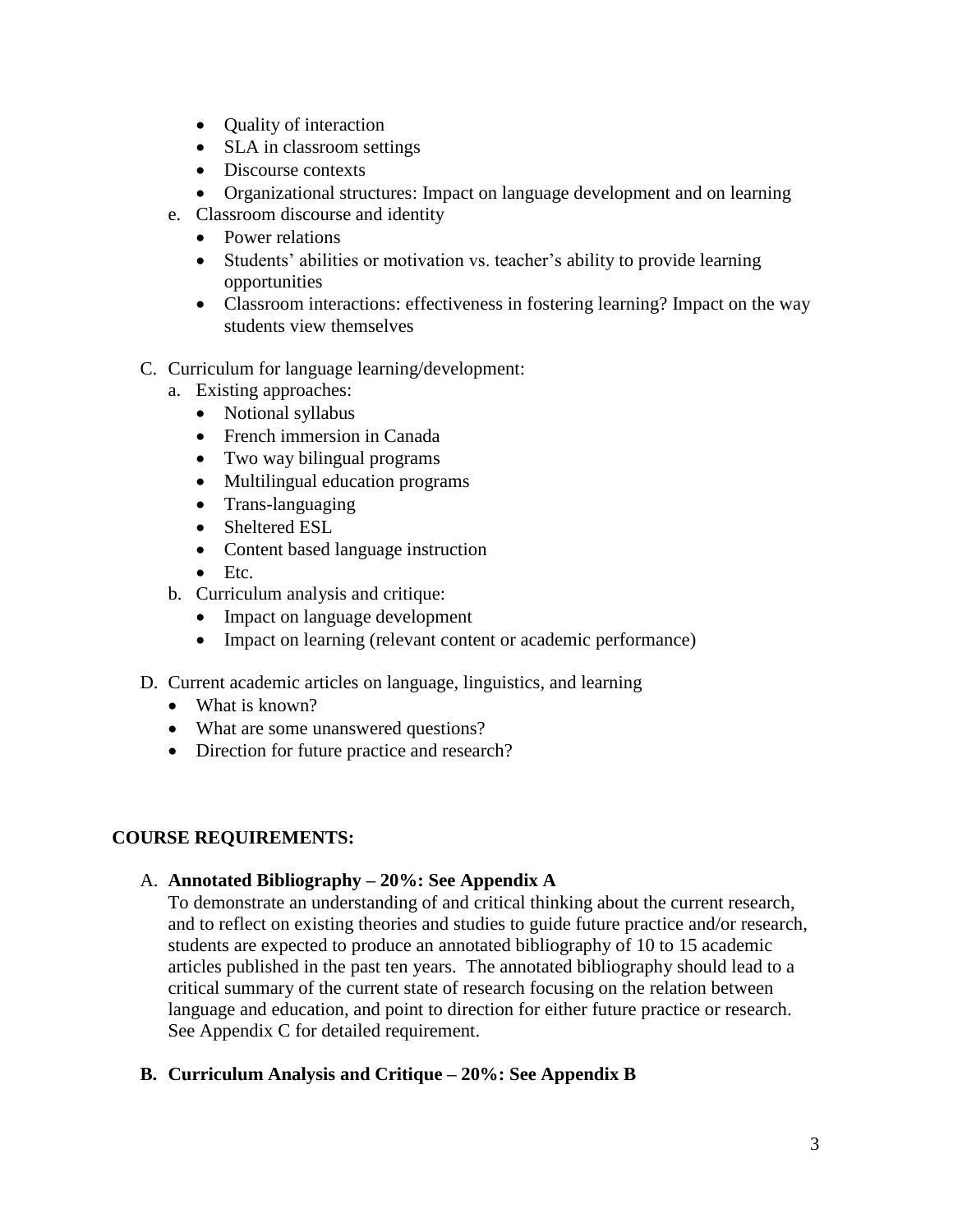- Quality of interaction
- SLA in classroom settings
- Discourse contexts
- Organizational structures: Impact on language development and on learning
- e. Classroom discourse and identity
	- Power relations
	- Students' abilities or motivation vs. teacher's ability to provide learning opportunities
	- Classroom interactions: effectiveness in fostering learning? Impact on the way students view themselves
- C. Curriculum for language learning/development:
	- a. Existing approaches:
		- Notional syllabus
		- French immersion in Canada
		- Two way bilingual programs
		- Multilingual education programs
		- Trans-languaging
		- Sheltered ESL
		- Content based language instruction
		- Etc.
	- b. Curriculum analysis and critique:
		- Impact on language development
		- Impact on learning (relevant content or academic performance)
- D. Current academic articles on language, linguistics, and learning
	- What is known?
	- What are some unanswered questions?
	- Direction for future practice and research?

## **COURSE REQUIREMENTS:**

## A. **Annotated Bibliography – 20%: See Appendix A**

To demonstrate an understanding of and critical thinking about the current research, and to reflect on existing theories and studies to guide future practice and/or research, students are expected to produce an annotated bibliography of 10 to 15 academic articles published in the past ten years. The annotated bibliography should lead to a critical summary of the current state of research focusing on the relation between language and education, and point to direction for either future practice or research. See Appendix C for detailed requirement.

## **B. Curriculum Analysis and Critique – 20%: See Appendix B**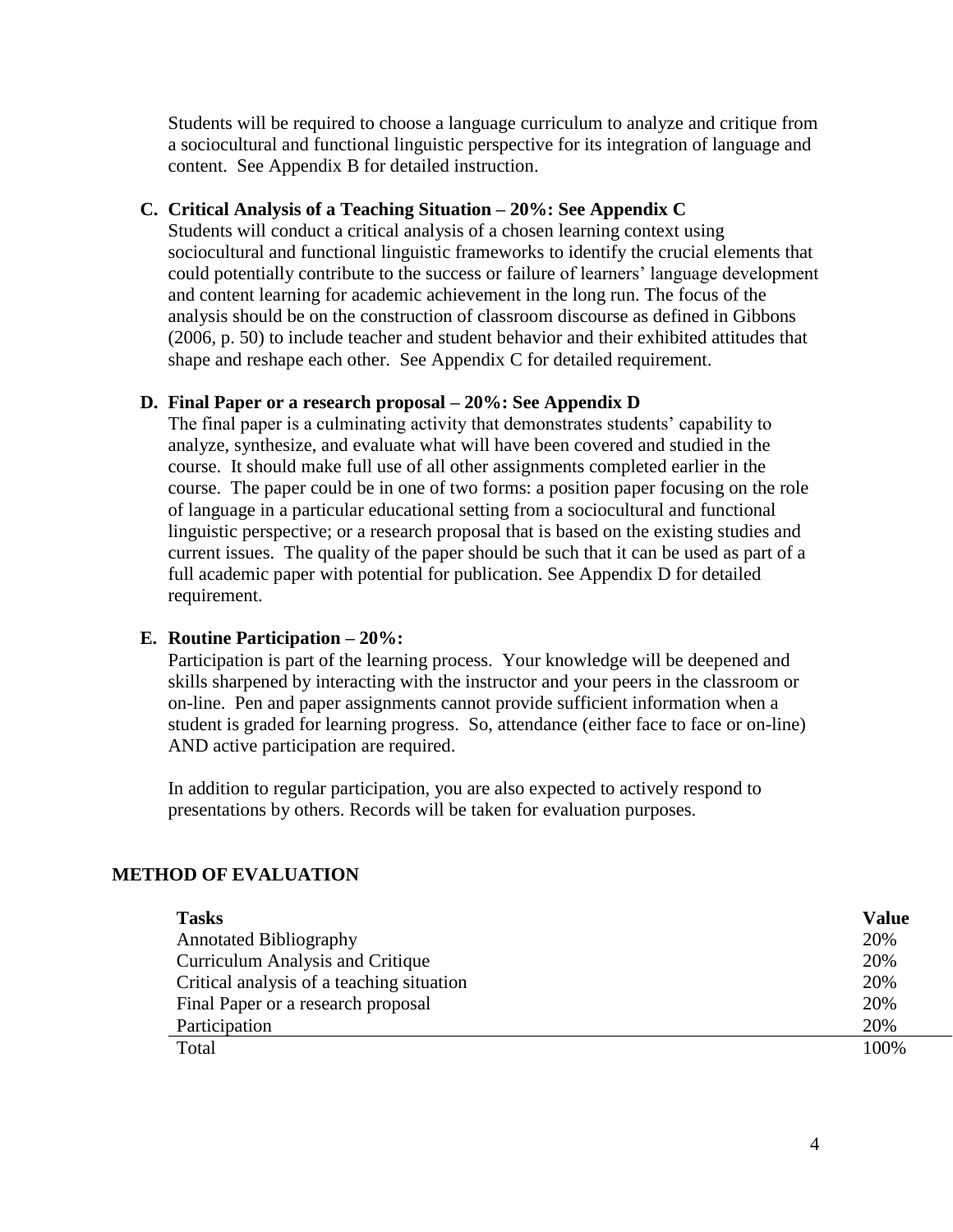Students will be required to choose a language curriculum to analyze and critique from a sociocultural and functional linguistic perspective for its integration of language and content. See Appendix B for detailed instruction.

### **C. Critical Analysis of a Teaching Situation – 20%: See Appendix C**

Students will conduct a critical analysis of a chosen learning context using sociocultural and functional linguistic frameworks to identify the crucial elements that could potentially contribute to the success or failure of learners' language development and content learning for academic achievement in the long run. The focus of the analysis should be on the construction of classroom discourse as defined in Gibbons (2006, p. 50) to include teacher and student behavior and their exhibited attitudes that shape and reshape each other. See Appendix C for detailed requirement.

#### **D. Final Paper or a research proposal – 20%: See Appendix D**

The final paper is a culminating activity that demonstrates students' capability to analyze, synthesize, and evaluate what will have been covered and studied in the course. It should make full use of all other assignments completed earlier in the course. The paper could be in one of two forms: a position paper focusing on the role of language in a particular educational setting from a sociocultural and functional linguistic perspective; or a research proposal that is based on the existing studies and current issues. The quality of the paper should be such that it can be used as part of a full academic paper with potential for publication. See Appendix D for detailed requirement.

#### **E. Routine Participation – 20%:**

Participation is part of the learning process. Your knowledge will be deepened and skills sharpened by interacting with the instructor and your peers in the classroom or on-line. Pen and paper assignments cannot provide sufficient information when a student is graded for learning progress. So, attendance (either face to face or on-line) AND active participation are required.

In addition to regular participation, you are also expected to actively respond to presentations by others. Records will be taken for evaluation purposes.

#### **METHOD OF EVALUATION**

| <b>Tasks</b>                              | <b>Value</b> |
|-------------------------------------------|--------------|
| <b>Annotated Bibliography</b>             | 20%          |
| Curriculum Analysis and Critique          | 20%          |
| Critical analysis of a teaching situation | 20%          |
| Final Paper or a research proposal        | 20%          |
| Participation                             | 20%          |
| Total                                     | 100\%        |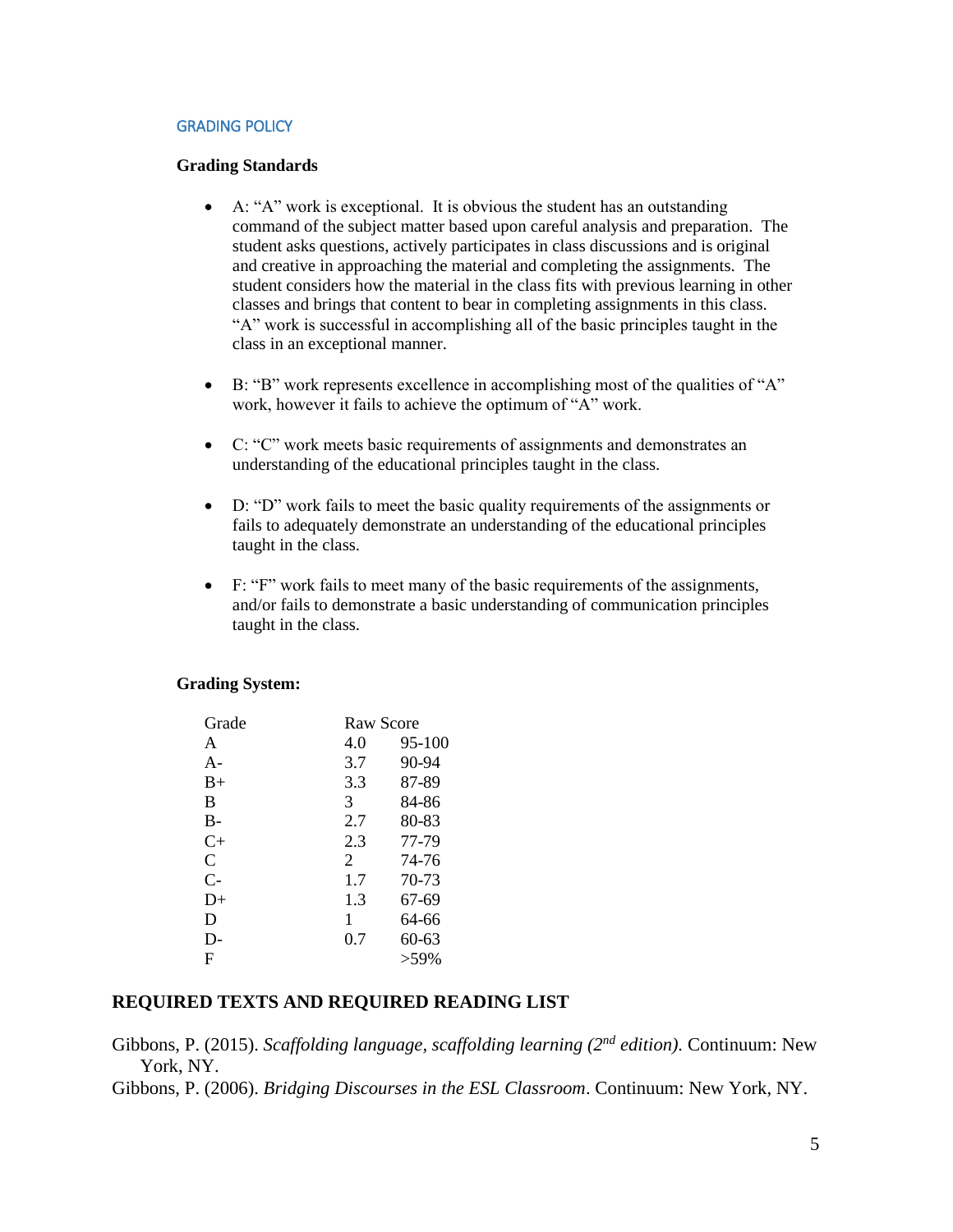#### GRADING POLICY

#### **Grading Standards**

- A: "A" work is exceptional. It is obvious the student has an outstanding command of the subject matter based upon careful analysis and preparation. The student asks questions, actively participates in class discussions and is original and creative in approaching the material and completing the assignments. The student considers how the material in the class fits with previous learning in other classes and brings that content to bear in completing assignments in this class. "A" work is successful in accomplishing all of the basic principles taught in the class in an exceptional manner.
- B: "B" work represents excellence in accomplishing most of the qualities of "A" work, however it fails to achieve the optimum of "A" work.
- C: "C" work meets basic requirements of assignments and demonstrates an understanding of the educational principles taught in the class.
- D: "D" work fails to meet the basic quality requirements of the assignments or fails to adequately demonstrate an understanding of the educational principles taught in the class.
- F: "F" work fails to meet many of the basic requirements of the assignments, and/or fails to demonstrate a basic understanding of communication principles taught in the class.

#### **Grading System:**

| Grade     | <b>Raw Score</b> |         |
|-----------|------------------|---------|
| A         | 4.0              | 95-100  |
| $A -$     | 3.7              | 90-94   |
| $B+$      | 3.3              | 87-89   |
| B         | 3                | 84-86   |
| B-        | 2.7              | 80-83   |
| $C_{\pm}$ | 2.3              | 77-79   |
| C         | 2                | 74-76   |
| $C-$      | 1.7              | 70-73   |
| D+        | 1.3              | 67-69   |
| D         | 1                | 64-66   |
| D-        | 0.7              | 60-63   |
| F         |                  | $>59\%$ |

### **REQUIRED TEXTS AND REQUIRED READING LIST**

Gibbons, P. (2015). *Scaffolding language, scaffolding learning (2nd edition).* Continuum: New York, NY.

Gibbons, P. (2006). *Bridging Discourses in the ESL Classroom*. Continuum: New York, NY.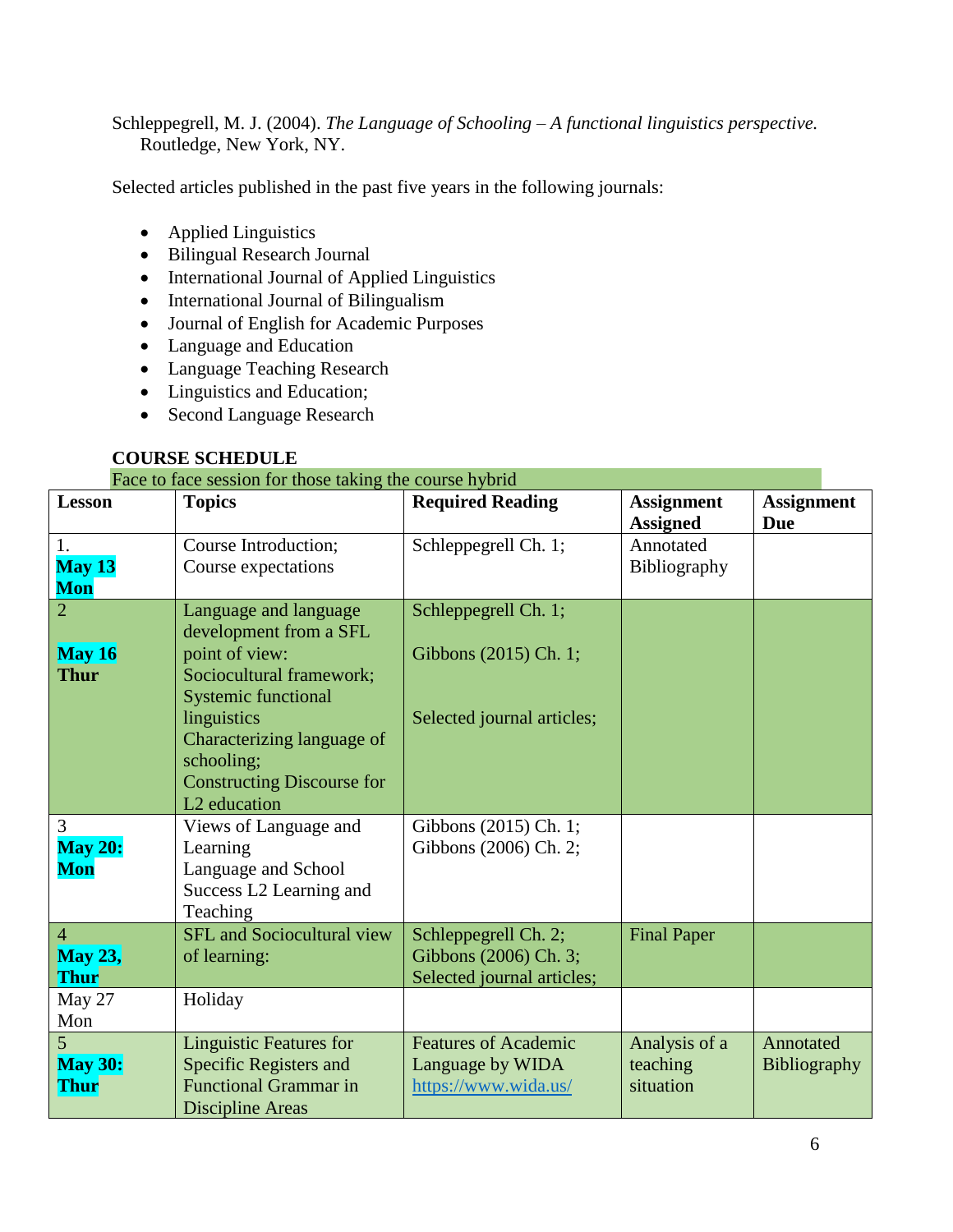Schleppegrell, M. J. (2004). *The Language of Schooling – A functional linguistics perspective.* Routledge, New York, NY.

Selected articles published in the past five years in the following journals:

- Applied Linguistics
- Bilingual Research Journal
- International Journal of Applied Linguistics
- International Journal of Bilingualism
- Journal of English for Academic Purposes
- Language and Education
- Language Teaching Research
- Linguistics and Education;
- Second Language Research

## **COURSE SCHEDULE**

## Face to face session for those taking the course hybrid

| <b>Lesson</b>                                             | I acc to face session for those taking the course hybrid<br><b>Topics</b>                                                                                                                                                                               | <b>Required Reading</b>                                                     | <b>Assignment</b>                      | <b>Assignment</b>         |
|-----------------------------------------------------------|---------------------------------------------------------------------------------------------------------------------------------------------------------------------------------------------------------------------------------------------------------|-----------------------------------------------------------------------------|----------------------------------------|---------------------------|
|                                                           |                                                                                                                                                                                                                                                         |                                                                             | <b>Assigned</b>                        | <b>Due</b>                |
| 1.<br>May 13<br>Mon                                       | Course Introduction;<br>Course expectations                                                                                                                                                                                                             | Schleppegrell Ch. 1;                                                        | Annotated<br>Bibliography              |                           |
| 2<br>May 16<br><b>Thur</b>                                | Language and language<br>development from a SFL<br>point of view:<br>Sociocultural framework;<br><b>Systemic functional</b><br>linguistics<br>Characterizing language of<br>schooling;<br><b>Constructing Discourse for</b><br>L <sub>2</sub> education | Schleppegrell Ch. 1;<br>Gibbons (2015) Ch. 1;<br>Selected journal articles; |                                        |                           |
| 3<br><b>May 20:</b><br>Mon                                | Views of Language and<br>Learning<br>Language and School<br>Success L2 Learning and<br>Teaching                                                                                                                                                         | Gibbons (2015) Ch. 1;<br>Gibbons (2006) Ch. 2;                              |                                        |                           |
| $\overline{4}$<br><b>May 23,</b><br><b>Thur</b><br>May 27 | <b>SFL</b> and Sociocultural view<br>of learning:<br>Holiday                                                                                                                                                                                            | Schleppegrell Ch. 2;<br>Gibbons (2006) Ch. 3;<br>Selected journal articles; | <b>Final Paper</b>                     |                           |
| Mon                                                       |                                                                                                                                                                                                                                                         |                                                                             |                                        |                           |
| 5<br><b>May 30:</b><br><b>Thur</b>                        | <b>Linguistic Features for</b><br>Specific Registers and<br><b>Functional Grammar in</b><br>Discipline Areas                                                                                                                                            | <b>Features of Academic</b><br>Language by WIDA<br>https://www.wida.us/     | Analysis of a<br>teaching<br>situation | Annotated<br>Bibliography |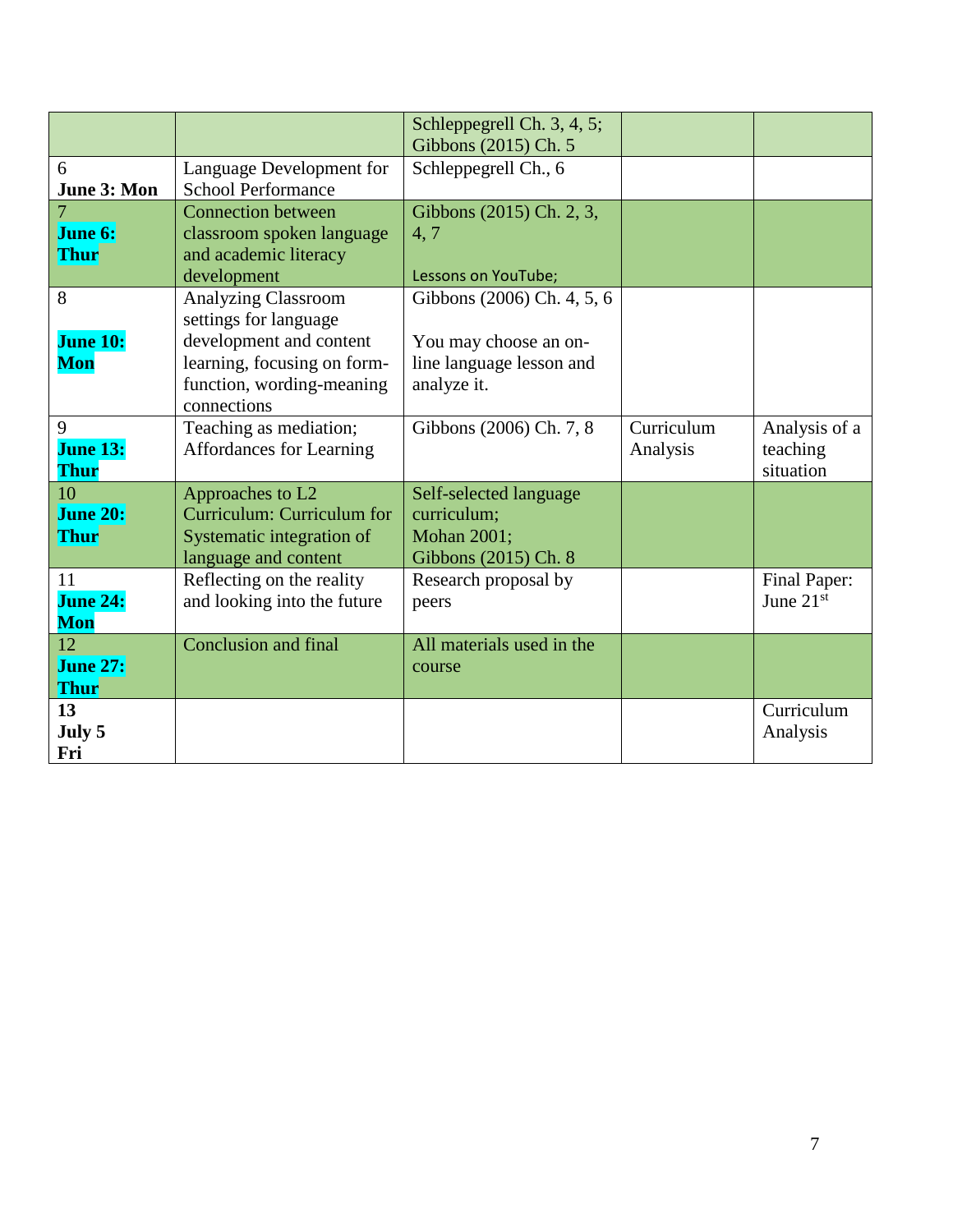|                                      |                                                                                                                                                           | Schleppegrell Ch. 3, 4, 5;<br>Gibbons (2015) Ch. 5                                             |                        |                                        |
|--------------------------------------|-----------------------------------------------------------------------------------------------------------------------------------------------------------|------------------------------------------------------------------------------------------------|------------------------|----------------------------------------|
| 6<br>June 3: Mon                     | Language Development for<br><b>School Performance</b>                                                                                                     | Schleppegrell Ch., 6                                                                           |                        |                                        |
| June 6:<br><b>Thur</b>               | <b>Connection between</b><br>classroom spoken language<br>and academic literacy<br>development                                                            | Gibbons (2015) Ch. 2, 3,<br>4,7<br>Lessons on YouTube;                                         |                        |                                        |
| 8<br><b>June 10:</b><br>Mon          | <b>Analyzing Classroom</b><br>settings for language<br>development and content<br>learning, focusing on form-<br>function, wording-meaning<br>connections | Gibbons (2006) Ch. 4, 5, 6<br>You may choose an on-<br>line language lesson and<br>analyze it. |                        |                                        |
| 9<br><b>June 13:</b><br><b>Thur</b>  | Teaching as mediation;<br>Affordances for Learning                                                                                                        | Gibbons (2006) Ch. 7, 8                                                                        | Curriculum<br>Analysis | Analysis of a<br>teaching<br>situation |
| 10<br><b>June 20:</b><br><b>Thur</b> | Approaches to L2<br>Curriculum: Curriculum for<br>Systematic integration of<br>language and content                                                       | Self-selected language<br>curriculum;<br>Mohan 2001;<br>Gibbons (2015) Ch. 8                   |                        |                                        |
| 11<br><b>June 24:</b><br><b>Mon</b>  | Reflecting on the reality<br>and looking into the future                                                                                                  | Research proposal by<br>peers                                                                  |                        | Final Paper:<br>June $21st$            |
| 12<br><b>June 27:</b><br><b>Thur</b> | <b>Conclusion and final</b>                                                                                                                               | All materials used in the<br>course                                                            |                        |                                        |
| 13<br>July 5<br>Fri                  |                                                                                                                                                           |                                                                                                |                        | Curriculum<br>Analysis                 |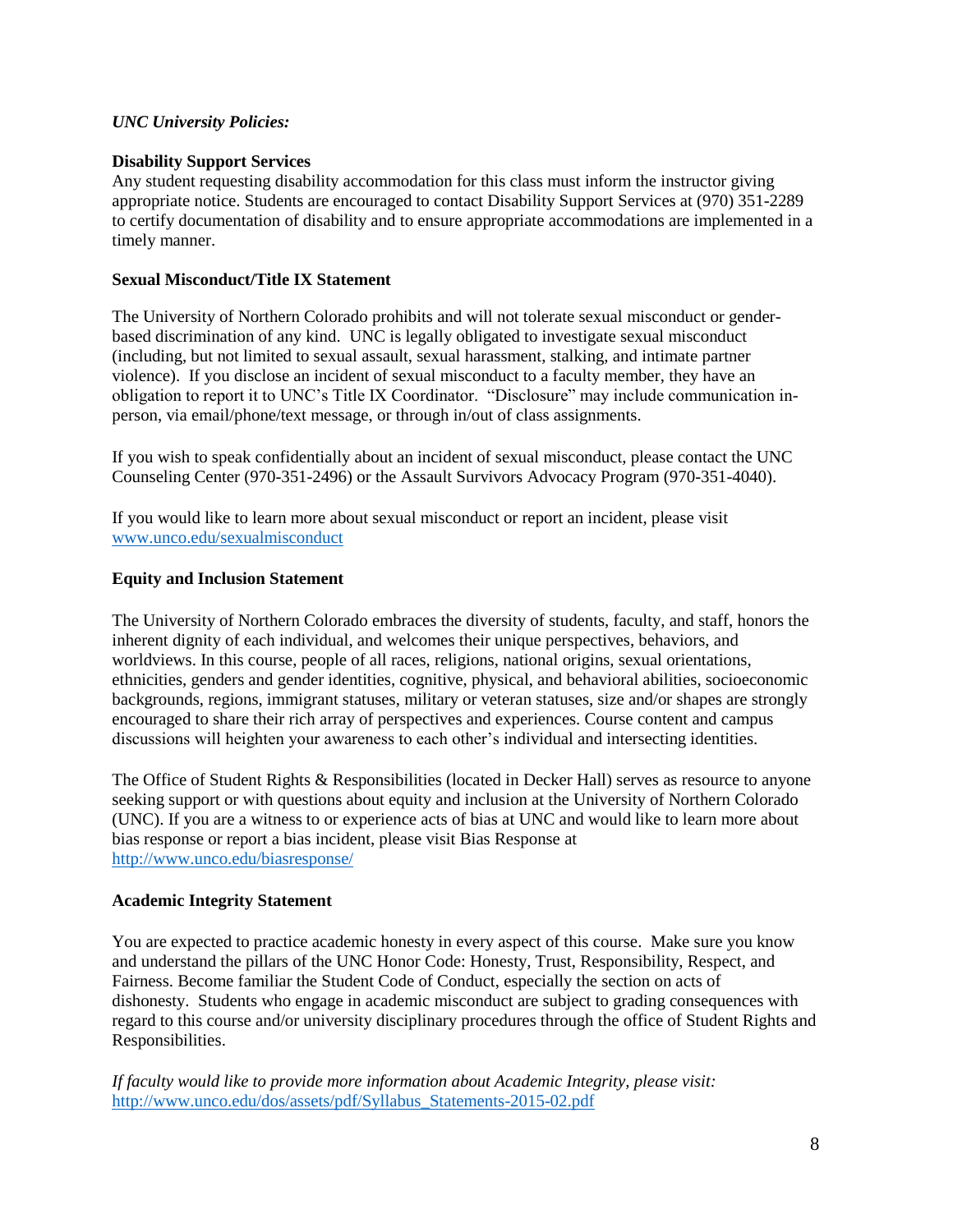#### *UNC University Policies:*

#### **Disability Support Services**

Any student requesting disability accommodation for this class must inform the instructor giving appropriate notice. Students are encouraged to contact Disability Support Services at (970) 351-2289 to certify documentation of disability and to ensure appropriate accommodations are implemented in a timely manner.

#### **Sexual Misconduct/Title IX Statement**

The University of Northern Colorado prohibits and will not tolerate sexual misconduct or genderbased discrimination of any kind. UNC is legally obligated to investigate sexual misconduct (including, but not limited to sexual assault, sexual harassment, stalking, and intimate partner violence). If you disclose an incident of sexual misconduct to a faculty member, they have an obligation to report it to UNC's Title IX Coordinator. "Disclosure" may include communication inperson, via email/phone/text message, or through in/out of class assignments.

If you wish to speak confidentially about an incident of sexual misconduct, please contact the UNC Counseling Center (970-351-2496) or the Assault Survivors Advocacy Program (970-351-4040).

If you would like to learn more about sexual misconduct or report an incident, please visit [www.unco.edu/sexualmisconduct](http://www.unco.edu/sexualmisconduct)

#### **Equity and Inclusion Statement**

The University of Northern Colorado embraces the diversity of students, faculty, and staff, honors the inherent dignity of each individual, and welcomes their unique perspectives, behaviors, and worldviews. In this course, people of all races, religions, national origins, sexual orientations, ethnicities, genders and gender identities, cognitive, physical, and behavioral abilities, socioeconomic backgrounds, regions, immigrant statuses, military or veteran statuses, size and/or shapes are strongly encouraged to share their rich array of perspectives and experiences. Course content and campus discussions will heighten your awareness to each other's individual and intersecting identities.

The Office of Student Rights & Responsibilities (located in Decker Hall) serves as resource to anyone seeking support or with questions about equity and inclusion at the University of Northern Colorado (UNC). If you are a witness to or experience acts of bias at UNC and would like to learn more about bias response or report a bias incident, please visit Bias Response at <http://www.unco.edu/biasresponse/>

#### **Academic Integrity Statement**

You are expected to practice academic honesty in every aspect of this course. Make sure you know and understand the pillars of the UNC Honor Code: Honesty, Trust, Responsibility, Respect, and Fairness. Become familiar the Student Code of Conduct, especially the section on acts of dishonesty. Students who engage in academic misconduct are subject to grading consequences with regard to this course and/or university disciplinary procedures through the office of Student Rights and Responsibilities.

*If faculty would like to provide more information about Academic Integrity, please visit:*  [http://www.unco.edu/dos/assets/pdf/Syllabus\\_Statements-2015-02.pdf](http://www.unco.edu/dos/assets/pdf/Syllabus_Statements-2015-02.pdf)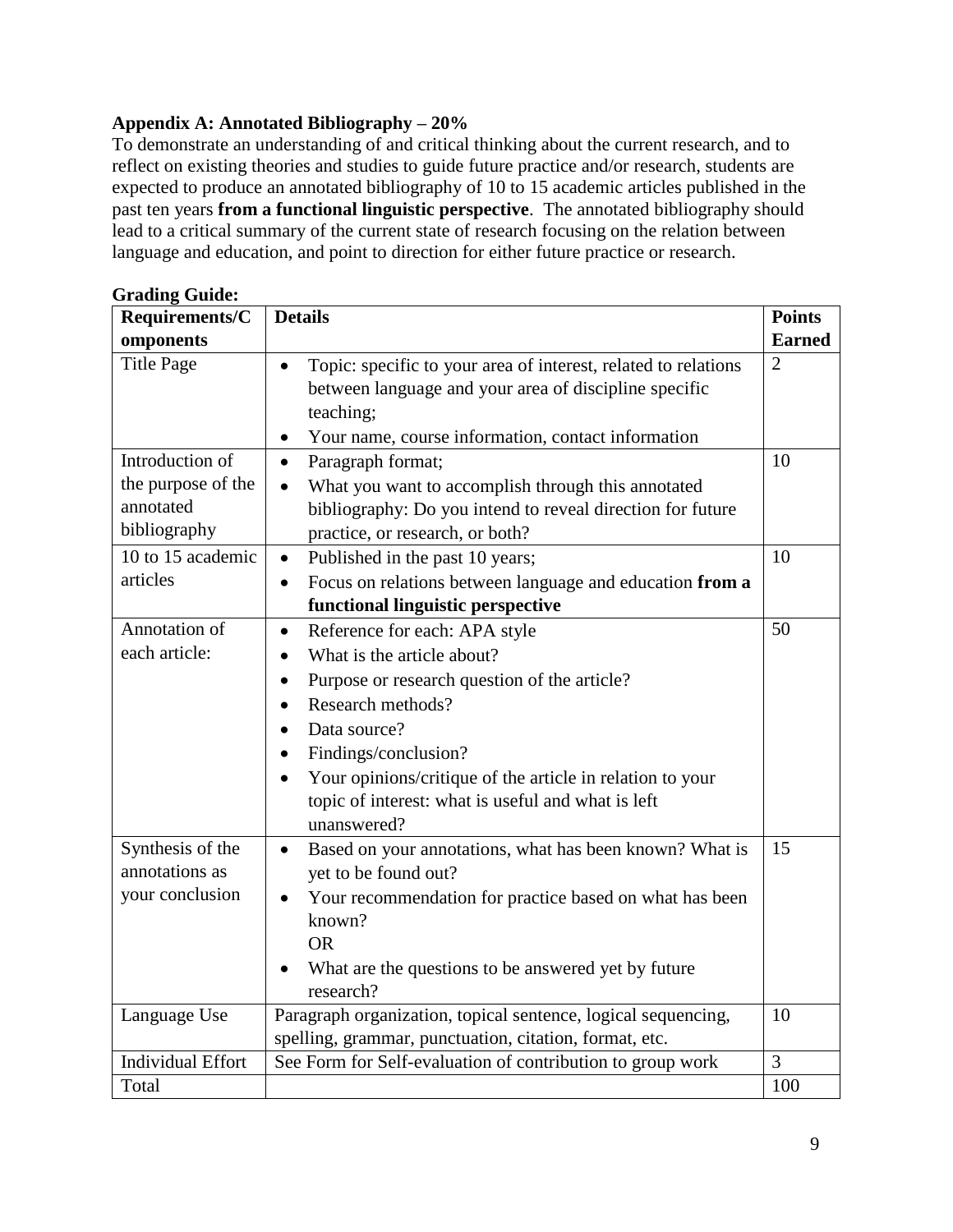## **Appendix A: Annotated Bibliography – 20%**

To demonstrate an understanding of and critical thinking about the current research, and to reflect on existing theories and studies to guide future practice and/or research, students are expected to produce an annotated bibliography of 10 to 15 academic articles published in the past ten years **from a functional linguistic perspective**. The annotated bibliography should lead to a critical summary of the current state of research focusing on the relation between language and education, and point to direction for either future practice or research.

| Requirements/C                                                     | <b>Details</b>                                                                                                                                                                                                                                                                                                                       | <b>Points</b>  |
|--------------------------------------------------------------------|--------------------------------------------------------------------------------------------------------------------------------------------------------------------------------------------------------------------------------------------------------------------------------------------------------------------------------------|----------------|
| omponents                                                          |                                                                                                                                                                                                                                                                                                                                      | <b>Earned</b>  |
| <b>Title Page</b>                                                  | Topic: specific to your area of interest, related to relations<br>between language and your area of discipline specific<br>teaching;<br>Your name, course information, contact information<br>$\bullet$                                                                                                                              | $\overline{2}$ |
| Introduction of<br>the purpose of the<br>annotated<br>bibliography | Paragraph format;<br>$\bullet$<br>What you want to accomplish through this annotated<br>bibliography: Do you intend to reveal direction for future<br>practice, or research, or both?                                                                                                                                                | 10             |
| 10 to 15 academic<br>articles                                      | Published in the past 10 years;<br>$\bullet$<br>Focus on relations between language and education from a<br>$\bullet$<br>functional linguistic perspective                                                                                                                                                                           | 10             |
| Annotation of<br>each article:                                     | Reference for each: APA style<br>$\bullet$<br>What is the article about?<br>Purpose or research question of the article?<br>$\bullet$<br>Research methods?<br>Data source?<br>Findings/conclusion?<br>Your opinions/critique of the article in relation to your<br>topic of interest: what is useful and what is left<br>unanswered? | 50             |
| Synthesis of the<br>annotations as<br>your conclusion              | Based on your annotations, what has been known? What is<br>$\bullet$<br>yet to be found out?<br>Your recommendation for practice based on what has been<br>known?<br><b>OR</b><br>What are the questions to be answered yet by future<br>research?                                                                                   | 15             |
| Language Use                                                       | Paragraph organization, topical sentence, logical sequencing,<br>spelling, grammar, punctuation, citation, format, etc.                                                                                                                                                                                                              | 10             |
| <b>Individual Effort</b>                                           | See Form for Self-evaluation of contribution to group work                                                                                                                                                                                                                                                                           | 3              |
| Total                                                              |                                                                                                                                                                                                                                                                                                                                      | 100            |

### **Grading Guide:**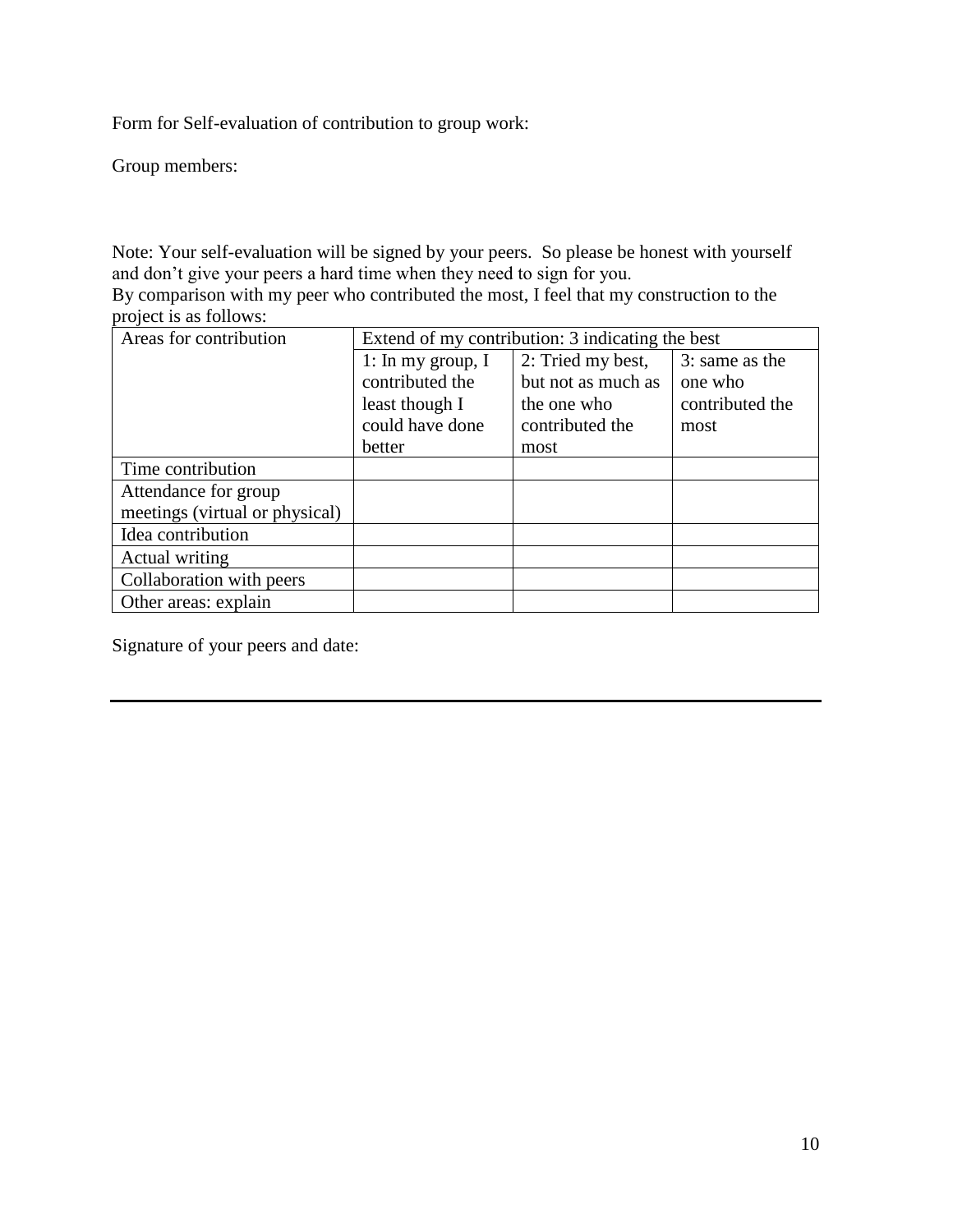Form for Self-evaluation of contribution to group work:

Group members:

Note: Your self-evaluation will be signed by your peers. So please be honest with yourself and don't give your peers a hard time when they need to sign for you.

By comparison with my peer who contributed the most, I feel that my construction to the project is as follows:

| Areas for contribution         | Extend of my contribution: 3 indicating the best |                    |                 |
|--------------------------------|--------------------------------------------------|--------------------|-----------------|
|                                | 1: In my group, $I$                              | 2: Tried my best,  | 3: same as the  |
|                                | contributed the                                  | but not as much as | one who         |
|                                | least though I                                   | the one who        | contributed the |
|                                | could have done                                  | contributed the    | most            |
|                                | better                                           | most               |                 |
| Time contribution              |                                                  |                    |                 |
| Attendance for group           |                                                  |                    |                 |
| meetings (virtual or physical) |                                                  |                    |                 |
| Idea contribution              |                                                  |                    |                 |
| Actual writing                 |                                                  |                    |                 |
| Collaboration with peers       |                                                  |                    |                 |
| Other areas: explain           |                                                  |                    |                 |

Signature of your peers and date: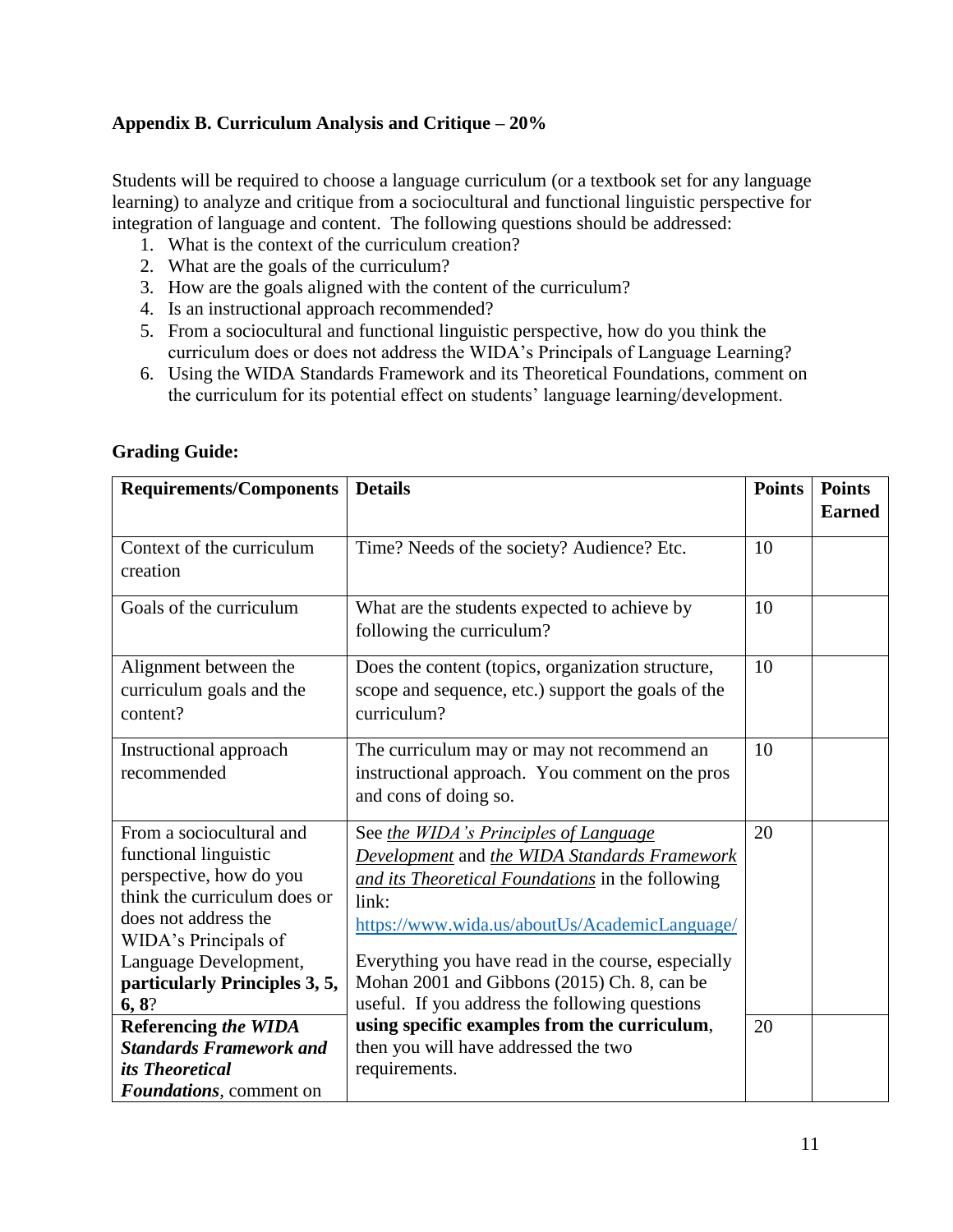## **Appendix B. Curriculum Analysis and Critique – 20%**

Students will be required to choose a language curriculum (or a textbook set for any language learning) to analyze and critique from a sociocultural and functional linguistic perspective for integration of language and content. The following questions should be addressed:

- 1. What is the context of the curriculum creation?
- 2. What are the goals of the curriculum?
- 3. How are the goals aligned with the content of the curriculum?
- 4. Is an instructional approach recommended?
- 5. From a sociocultural and functional linguistic perspective, how do you think the curriculum does or does not address the WIDA's Principals of Language Learning?
- 6. Using the WIDA Standards Framework and its Theoretical Foundations, comment on the curriculum for its potential effect on students' language learning/development.

| <b>Requirements/Components</b>                                                                                                                                                                                                  | <b>Details</b>                                                                                                                                                                                                                                                                                                                                             | <b>Points</b> | <b>Points</b><br><b>Earned</b> |
|---------------------------------------------------------------------------------------------------------------------------------------------------------------------------------------------------------------------------------|------------------------------------------------------------------------------------------------------------------------------------------------------------------------------------------------------------------------------------------------------------------------------------------------------------------------------------------------------------|---------------|--------------------------------|
| Context of the curriculum<br>creation                                                                                                                                                                                           | Time? Needs of the society? Audience? Etc.                                                                                                                                                                                                                                                                                                                 | 10            |                                |
| Goals of the curriculum                                                                                                                                                                                                         | What are the students expected to achieve by<br>following the curriculum?                                                                                                                                                                                                                                                                                  | 10            |                                |
| Alignment between the<br>curriculum goals and the<br>content?                                                                                                                                                                   | Does the content (topics, organization structure,<br>scope and sequence, etc.) support the goals of the<br>curriculum?                                                                                                                                                                                                                                     | 10            |                                |
| Instructional approach<br>recommended                                                                                                                                                                                           | The curriculum may or may not recommend an<br>instructional approach. You comment on the pros<br>and cons of doing so.                                                                                                                                                                                                                                     | 10            |                                |
| From a sociocultural and<br>functional linguistic<br>perspective, how do you<br>think the curriculum does or<br>does not address the<br>WIDA's Principals of<br>Language Development,<br>particularly Principles 3, 5,<br>6, 8? | See the WIDA's Principles of Language<br>Development and the WIDA Standards Framework<br>and its Theoretical Foundations in the following<br>link:<br>https://www.wida.us/aboutUs/AcademicLanguage/<br>Everything you have read in the course, especially<br>Mohan 2001 and Gibbons (2015) Ch. 8, can be<br>useful. If you address the following questions | 20            |                                |
| <b>Referencing the WIDA</b><br><b>Standards Framework and</b>                                                                                                                                                                   | using specific examples from the curriculum,<br>then you will have addressed the two                                                                                                                                                                                                                                                                       | 20            |                                |
| <i>its Theoretical</i><br><b>Foundations</b> , comment on                                                                                                                                                                       | requirements.                                                                                                                                                                                                                                                                                                                                              |               |                                |

### **Grading Guide:**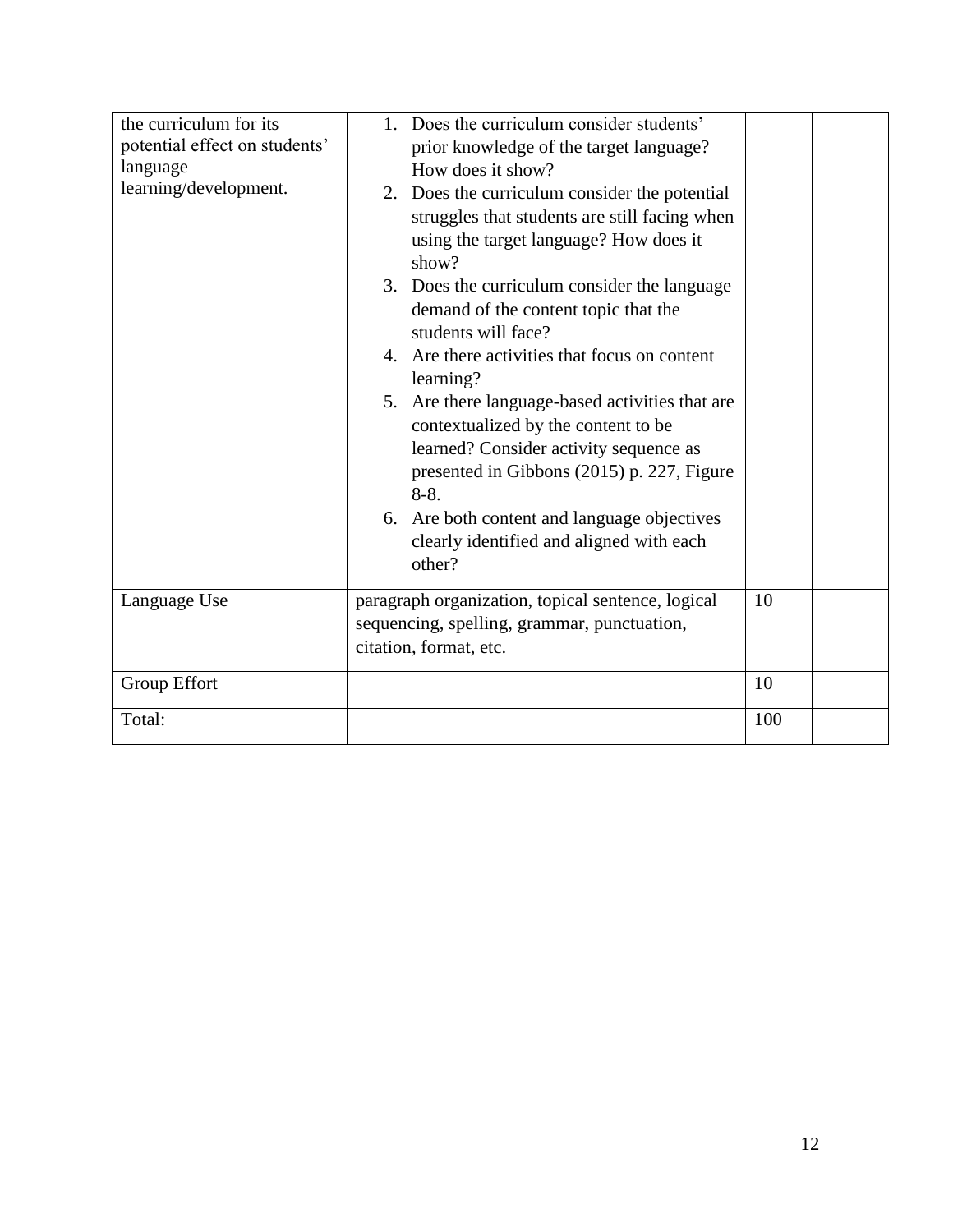| the curriculum for its<br>potential effect on students'<br>language<br>learning/development. | Does the curriculum consider students'<br>$1_{-}$<br>prior knowledge of the target language?<br>How does it show?<br>2. Does the curriculum consider the potential<br>struggles that students are still facing when<br>using the target language? How does it<br>show?<br>3. Does the curriculum consider the language<br>demand of the content topic that the<br>students will face?<br>4. Are there activities that focus on content<br>learning?<br>5. Are there language-based activities that are<br>contextualized by the content to be<br>learned? Consider activity sequence as<br>presented in Gibbons (2015) p. 227, Figure<br>$8-8.$<br>6. Are both content and language objectives<br>clearly identified and aligned with each<br>other? |     |  |
|----------------------------------------------------------------------------------------------|------------------------------------------------------------------------------------------------------------------------------------------------------------------------------------------------------------------------------------------------------------------------------------------------------------------------------------------------------------------------------------------------------------------------------------------------------------------------------------------------------------------------------------------------------------------------------------------------------------------------------------------------------------------------------------------------------------------------------------------------------|-----|--|
| Language Use                                                                                 | paragraph organization, topical sentence, logical<br>sequencing, spelling, grammar, punctuation,<br>citation, format, etc.                                                                                                                                                                                                                                                                                                                                                                                                                                                                                                                                                                                                                           | 10  |  |
| Group Effort                                                                                 |                                                                                                                                                                                                                                                                                                                                                                                                                                                                                                                                                                                                                                                                                                                                                      | 10  |  |
| Total:                                                                                       |                                                                                                                                                                                                                                                                                                                                                                                                                                                                                                                                                                                                                                                                                                                                                      | 100 |  |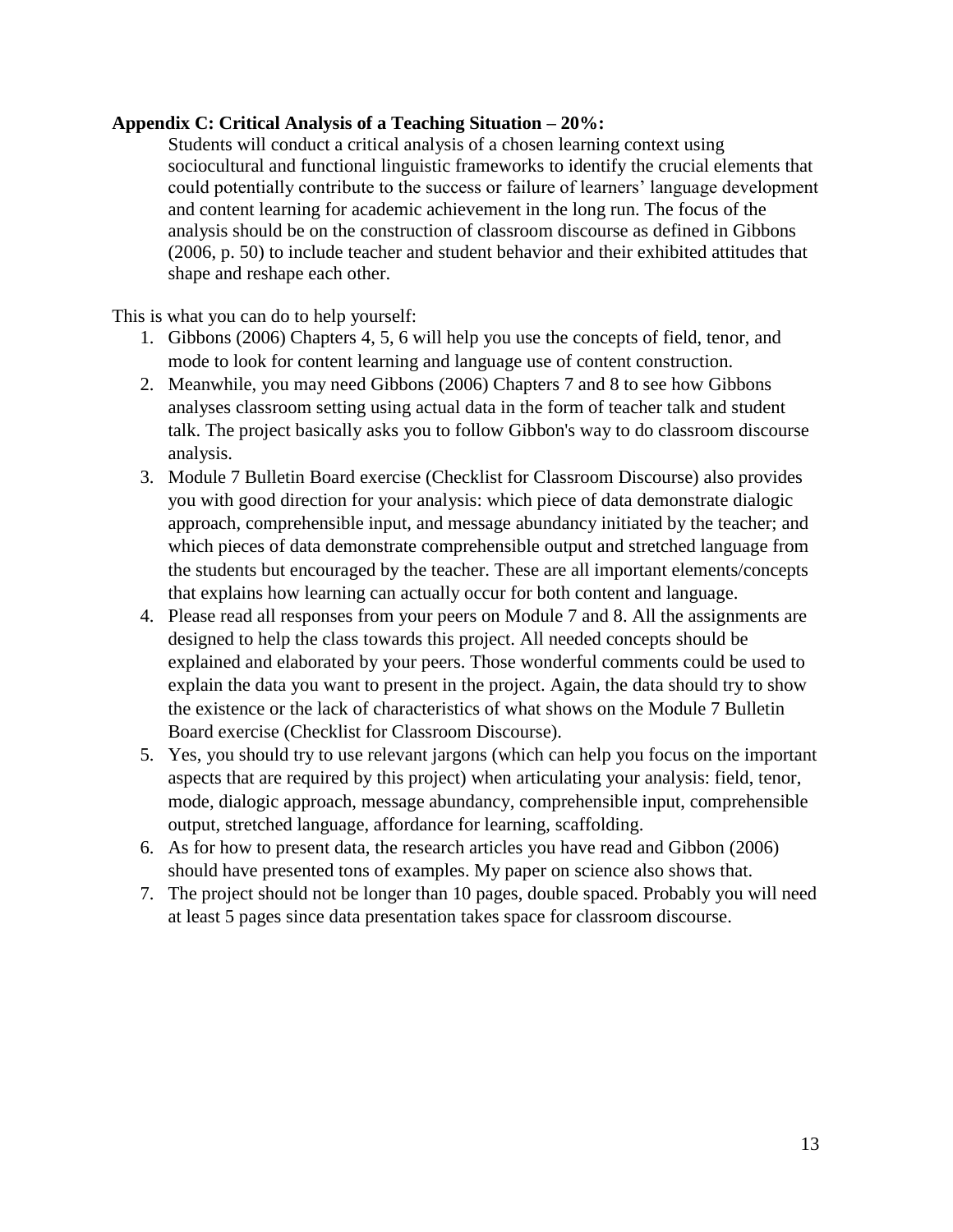### **Appendix C: Critical Analysis of a Teaching Situation – 20%:**

Students will conduct a critical analysis of a chosen learning context using sociocultural and functional linguistic frameworks to identify the crucial elements that could potentially contribute to the success or failure of learners' language development and content learning for academic achievement in the long run. The focus of the analysis should be on the construction of classroom discourse as defined in Gibbons (2006, p. 50) to include teacher and student behavior and their exhibited attitudes that shape and reshape each other.

This is what you can do to help yourself:

- 1. Gibbons (2006) Chapters 4, 5, 6 will help you use the concepts of field, tenor, and mode to look for content learning and language use of content construction.
- 2. Meanwhile, you may need Gibbons (2006) Chapters 7 and 8 to see how Gibbons analyses classroom setting using actual data in the form of teacher talk and student talk. The project basically asks you to follow Gibbon's way to do classroom discourse analysis.
- 3. Module 7 Bulletin Board exercise (Checklist for Classroom Discourse) also provides you with good direction for your analysis: which piece of data demonstrate dialogic approach, comprehensible input, and message abundancy initiated by the teacher; and which pieces of data demonstrate comprehensible output and stretched language from the students but encouraged by the teacher. These are all important elements/concepts that explains how learning can actually occur for both content and language.
- 4. Please read all responses from your peers on Module 7 and 8. All the assignments are designed to help the class towards this project. All needed concepts should be explained and elaborated by your peers. Those wonderful comments could be used to explain the data you want to present in the project. Again, the data should try to show the existence or the lack of characteristics of what shows on the Module 7 Bulletin Board exercise (Checklist for Classroom Discourse).
- 5. Yes, you should try to use relevant jargons (which can help you focus on the important aspects that are required by this project) when articulating your analysis: field, tenor, mode, dialogic approach, message abundancy, comprehensible input, comprehensible output, stretched language, affordance for learning, scaffolding.
- 6. As for how to present data, the research articles you have read and Gibbon (2006) should have presented tons of examples. My paper on science also shows that.
- 7. The project should not be longer than 10 pages, double spaced. Probably you will need at least 5 pages since data presentation takes space for classroom discourse.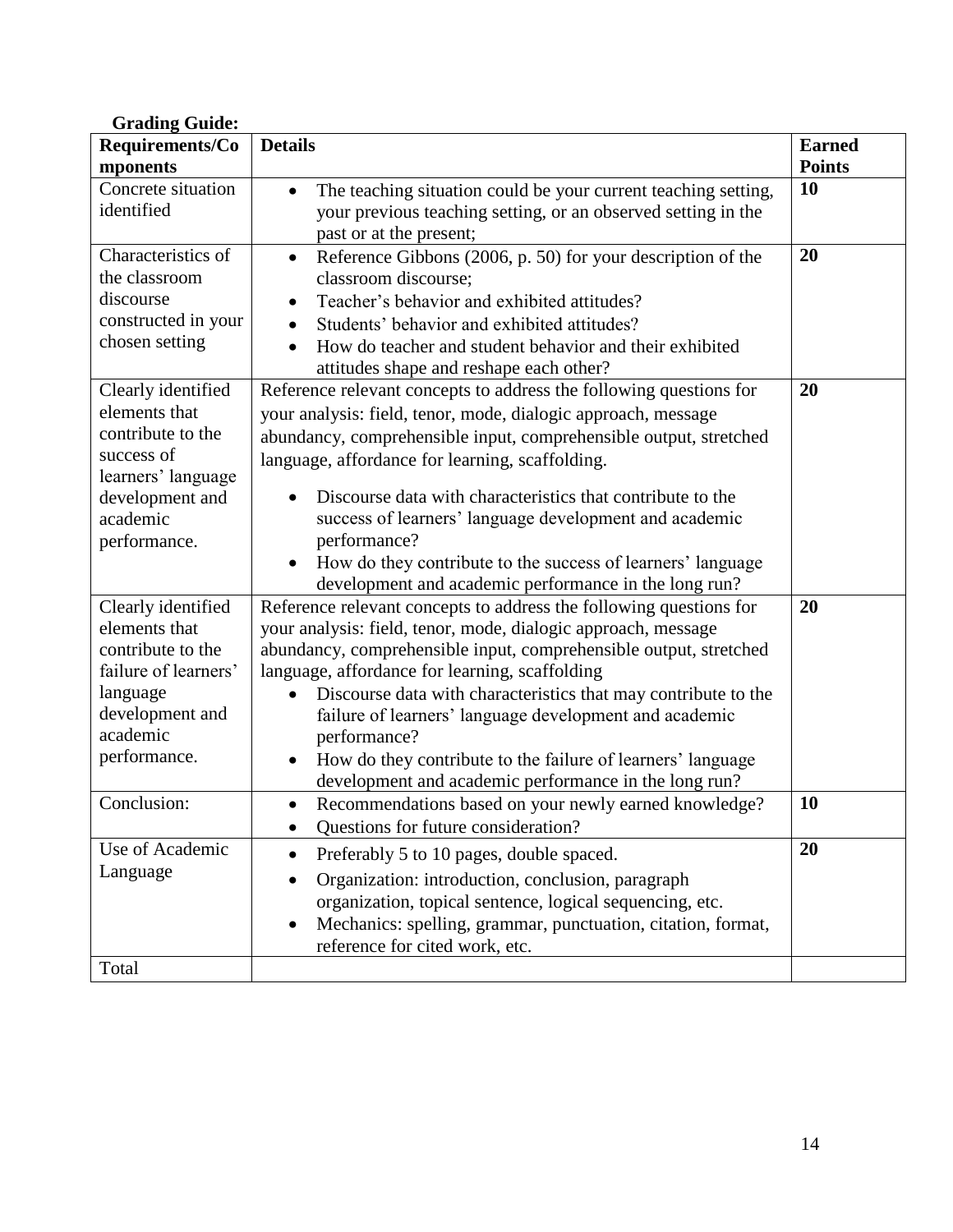| <b>Grading Guide:</b>                                                                                                                       |                                                                                                                                                                                                                                                                                                                                                                                                                                                                                                                                             |               |
|---------------------------------------------------------------------------------------------------------------------------------------------|---------------------------------------------------------------------------------------------------------------------------------------------------------------------------------------------------------------------------------------------------------------------------------------------------------------------------------------------------------------------------------------------------------------------------------------------------------------------------------------------------------------------------------------------|---------------|
| Requirements/Co                                                                                                                             | <b>Details</b>                                                                                                                                                                                                                                                                                                                                                                                                                                                                                                                              | <b>Earned</b> |
| mponents                                                                                                                                    |                                                                                                                                                                                                                                                                                                                                                                                                                                                                                                                                             | <b>Points</b> |
| Concrete situation<br>identified                                                                                                            | The teaching situation could be your current teaching setting,<br>$\bullet$<br>your previous teaching setting, or an observed setting in the<br>past or at the present;                                                                                                                                                                                                                                                                                                                                                                     | 10            |
| Characteristics of<br>the classroom<br>discourse<br>constructed in your<br>chosen setting                                                   | Reference Gibbons (2006, p. 50) for your description of the<br>$\bullet$<br>classroom discourse;<br>Teacher's behavior and exhibited attitudes?<br>$\bullet$<br>Students' behavior and exhibited attitudes?<br>$\bullet$<br>How do teacher and student behavior and their exhibited<br>$\bullet$<br>attitudes shape and reshape each other?                                                                                                                                                                                                 | 20            |
| Clearly identified<br>elements that<br>contribute to the<br>success of<br>learners' language<br>development and<br>academic<br>performance. | Reference relevant concepts to address the following questions for<br>your analysis: field, tenor, mode, dialogic approach, message<br>abundancy, comprehensible input, comprehensible output, stretched<br>language, affordance for learning, scaffolding.<br>Discourse data with characteristics that contribute to the<br>success of learners' language development and academic<br>performance?<br>How do they contribute to the success of learners' language<br>development and academic performance in the long run?                 | 20            |
| Clearly identified<br>elements that<br>contribute to the<br>failure of learners'<br>language<br>development and<br>academic<br>performance. | Reference relevant concepts to address the following questions for<br>your analysis: field, tenor, mode, dialogic approach, message<br>abundancy, comprehensible input, comprehensible output, stretched<br>language, affordance for learning, scaffolding<br>Discourse data with characteristics that may contribute to the<br>$\bullet$<br>failure of learners' language development and academic<br>performance?<br>How do they contribute to the failure of learners' language<br>development and academic performance in the long run? | 20            |
| Conclusion:                                                                                                                                 | Recommendations based on your newly earned knowledge?<br>$\bullet$<br>Questions for future consideration?<br>$\bullet$                                                                                                                                                                                                                                                                                                                                                                                                                      | 10            |
| Use of Academic<br>Language<br>Total                                                                                                        | Preferably 5 to 10 pages, double spaced.<br>$\bullet$<br>Organization: introduction, conclusion, paragraph<br>$\bullet$<br>organization, topical sentence, logical sequencing, etc.<br>Mechanics: spelling, grammar, punctuation, citation, format,<br>$\bullet$<br>reference for cited work, etc.                                                                                                                                                                                                                                          | 20            |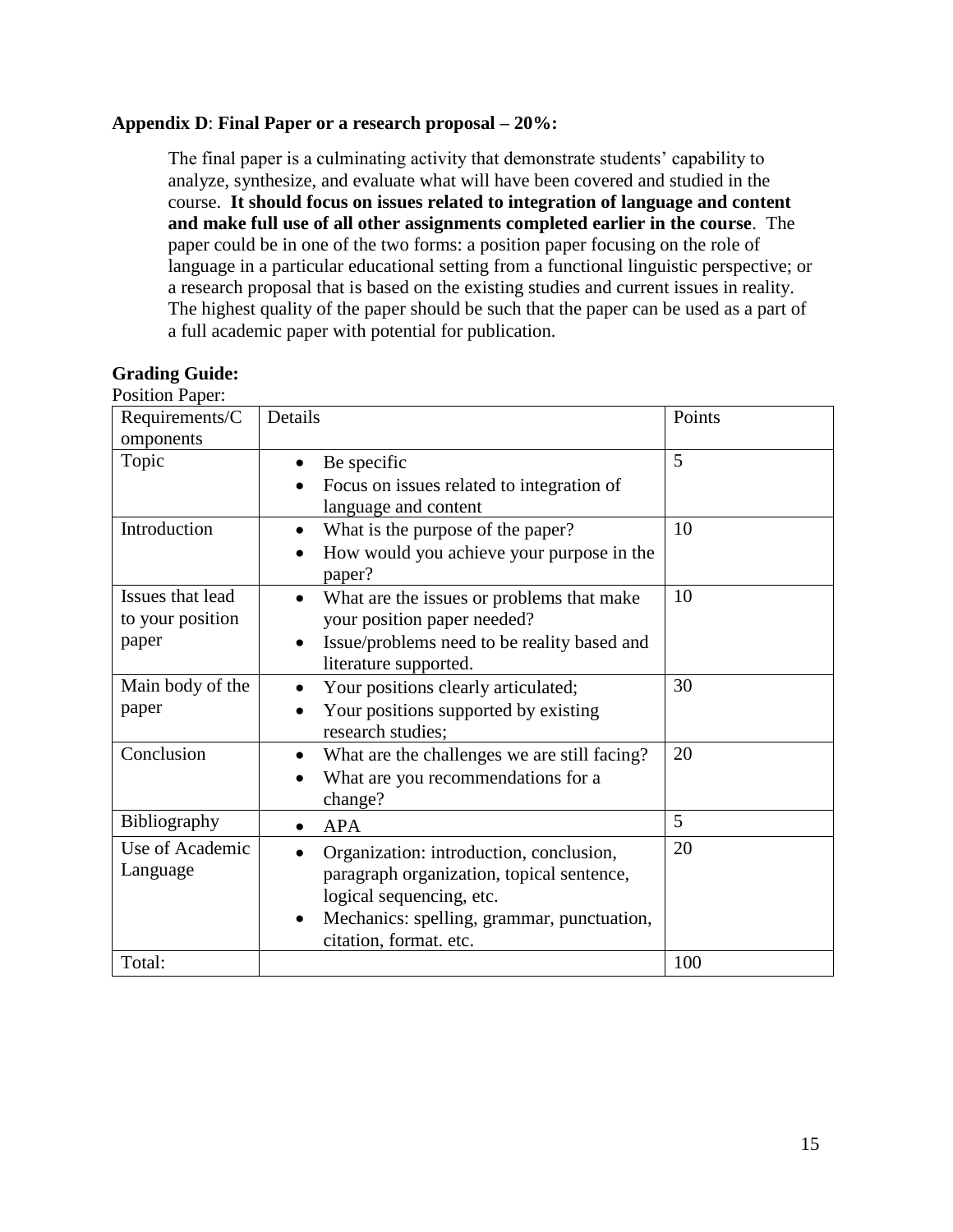### **Appendix D**: **Final Paper or a research proposal – 20%:**

The final paper is a culminating activity that demonstrate students' capability to analyze, synthesize, and evaluate what will have been covered and studied in the course. **It should focus on issues related to integration of language and content and make full use of all other assignments completed earlier in the course**. The paper could be in one of the two forms: a position paper focusing on the role of language in a particular educational setting from a functional linguistic perspective; or a research proposal that is based on the existing studies and current issues in reality. The highest quality of the paper should be such that the paper can be used as a part of a full academic paper with potential for publication.

| POSILION Paper:                      |                                                                                                                                                                                                       |        |
|--------------------------------------|-------------------------------------------------------------------------------------------------------------------------------------------------------------------------------------------------------|--------|
| Requirements/C<br>omponents          | Details                                                                                                                                                                                               | Points |
| Topic                                | Be specific<br>$\bullet$<br>Focus on issues related to integration of                                                                                                                                 | 5      |
|                                      | language and content                                                                                                                                                                                  |        |
| Introduction                         | What is the purpose of the paper?<br>$\bullet$                                                                                                                                                        | 10     |
|                                      | How would you achieve your purpose in the<br>$\bullet$<br>paper?                                                                                                                                      |        |
| Issues that lead<br>to your position | What are the issues or problems that make<br>$\bullet$<br>your position paper needed?                                                                                                                 | 10     |
| paper                                | Issue/problems need to be reality based and                                                                                                                                                           |        |
|                                      | literature supported.                                                                                                                                                                                 |        |
| Main body of the                     | Your positions clearly articulated;                                                                                                                                                                   | 30     |
| paper                                | Your positions supported by existing<br>research studies;                                                                                                                                             |        |
| Conclusion                           | What are the challenges we are still facing?<br>$\bullet$<br>What are you recommendations for a<br>$\bullet$<br>change?                                                                               | 20     |
| Bibliography                         | <b>APA</b>                                                                                                                                                                                            | 5      |
| Use of Academic<br>Language          | Organization: introduction, conclusion,<br>paragraph organization, topical sentence,<br>logical sequencing, etc.<br>Mechanics: spelling, grammar, punctuation,<br>$\bullet$<br>citation, format. etc. | 20     |
| Total:                               |                                                                                                                                                                                                       | 100    |

#### **Grading Guide:** Position Paper: